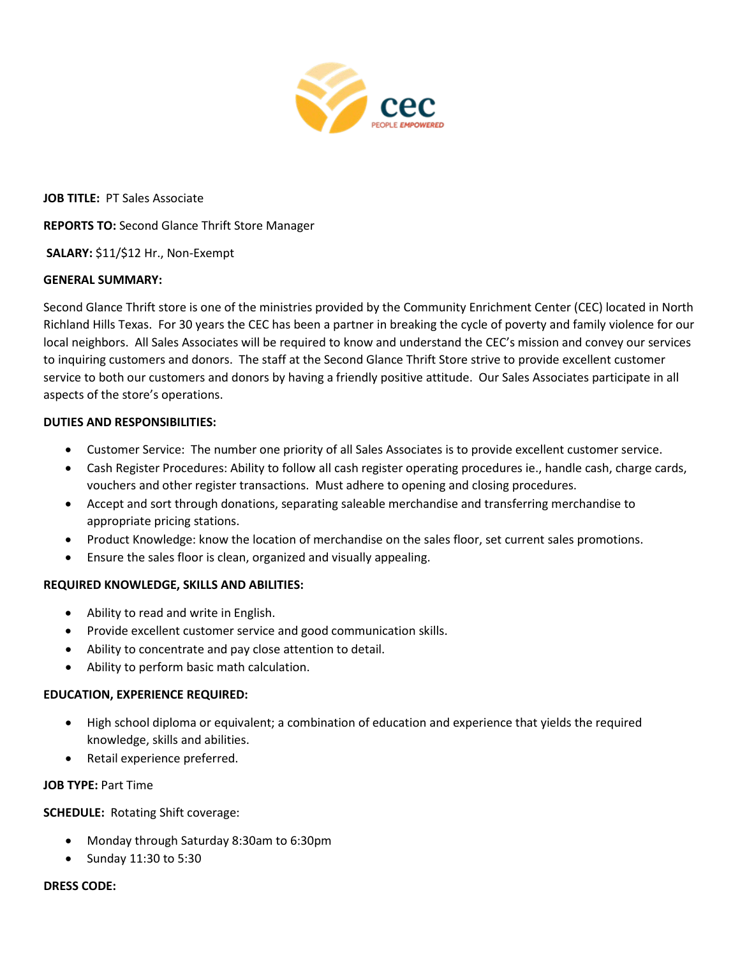

**JOB TITLE:** PT Sales Associate

**REPORTS TO:** Second Glance Thrift Store Manager

**SALARY:** \$11/\$12 Hr., Non-Exempt

# **GENERAL SUMMARY:**

Second Glance Thrift store is one of the ministries provided by the Community Enrichment Center (CEC) located in North Richland Hills Texas. For 30 years the CEC has been a partner in breaking the cycle of poverty and family violence for our local neighbors. All Sales Associates will be required to know and understand the CEC's mission and convey our services to inquiring customers and donors. The staff at the Second Glance Thrift Store strive to provide excellent customer service to both our customers and donors by having a friendly positive attitude. Our Sales Associates participate in all aspects of the store's operations.

# **DUTIES AND RESPONSIBILITIES:**

- Customer Service: The number one priority of all Sales Associates is to provide excellent customer service.
- Cash Register Procedures: Ability to follow all cash register operating procedures ie., handle cash, charge cards, vouchers and other register transactions. Must adhere to opening and closing procedures.
- Accept and sort through donations, separating saleable merchandise and transferring merchandise to appropriate pricing stations.
- Product Knowledge: know the location of merchandise on the sales floor, set current sales promotions.
- Ensure the sales floor is clean, organized and visually appealing.

# **REQUIRED KNOWLEDGE, SKILLS AND ABILITIES:**

- Ability to read and write in English.
- Provide excellent customer service and good communication skills.
- Ability to concentrate and pay close attention to detail.
- Ability to perform basic math calculation.

### **EDUCATION, EXPERIENCE REQUIRED:**

- High school diploma or equivalent; a combination of education and experience that yields the required knowledge, skills and abilities.
- Retail experience preferred.

### **JOB TYPE:** Part Time

**SCHEDULE:** Rotating Shift coverage:

- Monday through Saturday 8:30am to 6:30pm
- Sunday 11:30 to 5:30

### **DRESS CODE:**